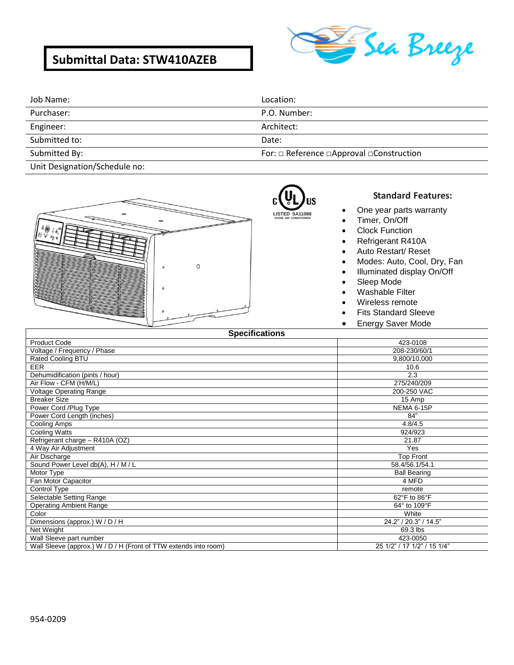# **Submittal Data: STW410AZEB**



| Job Name:     | Location:                                                 |
|---------------|-----------------------------------------------------------|
| Purchaser:    | P.O. Number:                                              |
| Engineer:     | Architect:                                                |
| Submitted to: | Date:                                                     |
| Submitted By: | For: $\Box$ Reference $\Box$ Approval $\Box$ Construction |

Unit Designation/Schedule no:



### R) **LISTED SA11088**

**ROOM AIR CONDITIONER**

### **Standard Features:**

- One year parts warranty
- Timer, On/Off
- Clock Function
- Refrigerant R410A
- Auto Restart/ Reset
- Modes: Auto, Cool, Dry, Fan
- Illuminated display On/Off
- Sleep Mode
- Washable Filter
- Wireless remote
- Fits Standard Sleeve
- **Energy Saver Mode**

| <b>Specifications</b>                                            |                             |
|------------------------------------------------------------------|-----------------------------|
| <b>Product Code</b>                                              | 423-0108                    |
| Voltage / Frequency / Phase                                      | 208-230/60/1                |
| Rated Cooling BTU                                                | 9,800/10,000                |
| <b>EER</b>                                                       | 10.6                        |
| Dehumidification (pints / hour)                                  | 2.3                         |
| Air Flow - CFM (H/M/L)                                           | 275/240/209                 |
| <b>Voltage Operating Range</b>                                   | 200-250 VAC                 |
| <b>Breaker Size</b>                                              | 15 Amp                      |
| Power Cord /Plug Type                                            | NEMA 6-15P                  |
| Power Cord Length (inches)                                       | 84"                         |
| Cooling Amps                                                     | 4.8/4.5                     |
| Cooling Watts                                                    | 924/923                     |
| Refrigerant charge - R410A (OZ)                                  | 21.87                       |
| 4 Way Air Adjustment                                             | Yes                         |
| Air Discharge                                                    | <b>Top Front</b>            |
| Sound Power Level db(A), H / M / L                               | 58.4/56.1/54.1              |
| Motor Type                                                       | <b>Ball Bearing</b>         |
| Fan Motor Capacitor                                              | 4 MFD                       |
| Control Type                                                     | remote                      |
| Selectable Setting Range                                         | 62°F to 86°F                |
| <b>Operating Ambient Range</b>                                   | 64° to 109°F                |
| Color                                                            | White                       |
| Dimensions (approx.) W / D / H                                   | 24.2" / 20.3" / 14.5"       |
| Net Weight                                                       | 69.3 lbs                    |
| Wall Sleeve part number                                          | 423-0050                    |
| Wall Sleeve (approx.) W / D / H (Front of TTW extends into room) | 25 1/2" / 17 1/2" / 15 1/4" |